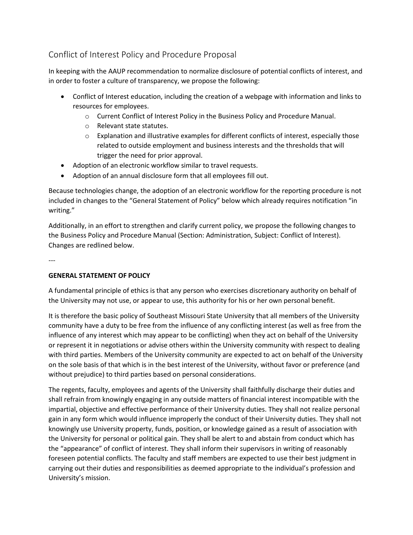# Conflict of Interest Policy and Procedure Proposal

In keeping with the AAUP recommendation to normalize disclosure of potential conflicts of interest, and in order to foster a culture of transparency, we propose the following:

- Conflict of Interest education, including the creation of a webpage with information and links to resources for employees.
	- o Current Conflict of Interest Policy in the Business Policy and Procedure Manual.
	- o Relevant state statutes.
	- $\circ$  Explanation and illustrative examples for different conflicts of interest, especially those related to outside employment and business interests and the thresholds that will trigger the need for prior approval.
- Adoption of an electronic workflow similar to travel requests.
- Adoption of an annual disclosure form that all employees fill out.

Because technologies change, the adoption of an electronic workflow for the reporting procedure is not included in changes to the "General Statement of Policy" below which already requires notification "in writing."

Additionally, in an effort to strengthen and clarify current policy, we propose the following changes to the Business Policy and Procedure Manual (Section: Administration, Subject: Conflict of Interest). Changes are redlined below.

---

# **GENERAL STATEMENT OF POLICY**

A fundamental principle of ethics is that any person who exercises discretionary authority on behalf of the University may not use, or appear to use, this authority for his or her own personal benefit.

It is therefore the basic policy of Southeast Missouri State University that all members of the University community have a duty to be free from the influence of any conflicting interest (as well as free from the influence of any interest which may appear to be conflicting) when they act on behalf of the University or represent it in negotiations or advise others within the University community with respect to dealing with third parties. Members of the University community are expected to act on behalf of the University on the sole basis of that which is in the best interest of the University, without favor or preference (and without prejudice) to third parties based on personal considerations.

The regents, faculty, employees and agents of the University shall faithfully discharge their duties and shall refrain from knowingly engaging in any outside matters of financial interest incompatible with the impartial, objective and effective performance of their University duties. They shall not realize personal gain in any form which would influence improperly the conduct of their University duties. They shall not knowingly use University property, funds, position, or knowledge gained as a result of association with the University for personal or political gain. They shall be alert to and abstain from conduct which has the "appearance" of conflict of interest. They shall inform their supervisors in writing of reasonably foreseen potential conflicts. The faculty and staff members are expected to use their best judgment in carrying out their duties and responsibilities as deemed appropriate to the individual's profession and University's mission.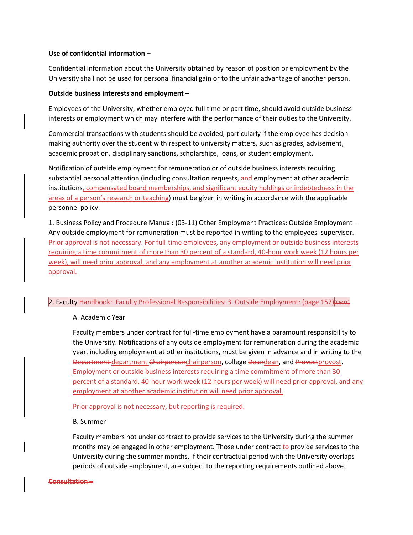#### **Use of confidential information –**

Confidential information about the University obtained by reason of position or employment by the University shall not be used for personal financial gain or to the unfair advantage of another person.

#### **Outside business interests and employment –**

Employees of the University, whether employed full time or part time, should avoid outside business interests or employment which may interfere with the performance of their duties to the University.

Commercial transactions with students should be avoided, particularly if the employee has decisionmaking authority over the student with respect to university matters, such as grades, advisement, academic probation, disciplinary sanctions, scholarships, loans, or student employment.

Notification of outside employment for remuneration or of outside business interests requiring substantial personal attention (including consultation requests, and employment at other academic institutions, compensated board memberships, and significant equity holdings or indebtedness in the areas of a person's research or teaching) must be given in writing in accordance with the applicable personnel policy.

1. Business Policy and Procedure Manual: (03-11) Other Employment Practices: Outside Employment – Any outside employment for remuneration must be reported in writing to the employees' supervisor. Prior approval is not necessary. For full-time employees, any employment or outside business interests requiring a time commitment of more than 30 percent of a standard, 40-hour work week (12 hours per week), will need prior approval, and any employment at another academic institution will need prior approval.

#### 2. Faculty Handbook: Faculty Professional Responsibilities: 3. Outside Employment: (page 152)[CMJ1]

#### A. Academic Year

Faculty members under contract for full-time employment have a paramount responsibility to the University. Notifications of any outside employment for remuneration during the academic year, including employment at other institutions, must be given in advance and in writing to the Department department Chairpersonchairperson, college Deandean, and Provostprovost. Employment or outside business interests requiring a time commitment of more than 30 percent of a standard, 40-hour work week (12 hours per week) will need prior approval, and any employment at another academic institution will need prior approval.

Prior approval is not necessary, but reporting is required.

#### B. Summer

Faculty members not under contract to provide services to the University during the summer months may be engaged in other employment. Those under contract to provide services to the University during the summer months, if their contractual period with the University overlaps periods of outside employment, are subject to the reporting requirements outlined above.

#### **Consultation –**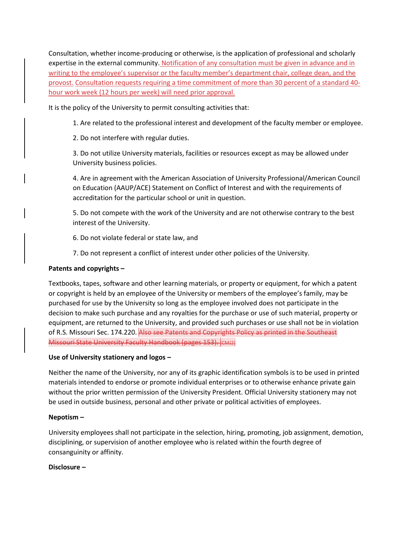Consultation, whether income-producing or otherwise, is the application of professional and scholarly expertise in the external community. Notification of any consultation must be given in advance and in writing to the employee's supervisor or the faculty member's department chair, college dean, and the provost. Consultation requests requiring a time commitment of more than 30 percent of a standard 40 hour work week (12 hours per week) will need prior approval.

It is the policy of the University to permit consulting activities that:

1. Are related to the professional interest and development of the faculty member or employee.

2. Do not interfere with regular duties.

3. Do not utilize University materials, facilities or resources except as may be allowed under University business policies.

4. Are in agreement with the American Association of University Professional/American Council on Education (AAUP/ACE) Statement on Conflict of Interest and with the requirements of accreditation for the particular school or unit in question.

5. Do not compete with the work of the University and are not otherwise contrary to the best interest of the University.

6. Do not violate federal or state law, and

7. Do not represent a conflict of interest under other policies of the University.

#### **Patents and copyrights –**

Textbooks, tapes, software and other learning materials, or property or equipment, for which a patent or copyright is held by an employee of the University or members of the employee's family, may be purchased for use by the University so long as the employee involved does not participate in the decision to make such purchase and any royalties for the purchase or use of such material, property or equipment, are returned to the University, and provided such purchases or use shall not be in violation of R.S. Missouri Sec. 174.220. Also see Patents and Copyrights Policy as printed in the Southeast Missouri State University Faculty Handbook (pages 153). [CMJ2]

### **Use of University stationery and logos –**

Neither the name of the University, nor any of its graphic identification symbols is to be used in printed materials intended to endorse or promote individual enterprises or to otherwise enhance private gain without the prior written permission of the University President. Official University stationery may not be used in outside business, personal and other private or political activities of employees.

#### **Nepotism –**

University employees shall not participate in the selection, hiring, promoting, job assignment, demotion, disciplining, or supervision of another employee who is related within the fourth degree of consanguinity or affinity.

#### **Disclosure –**